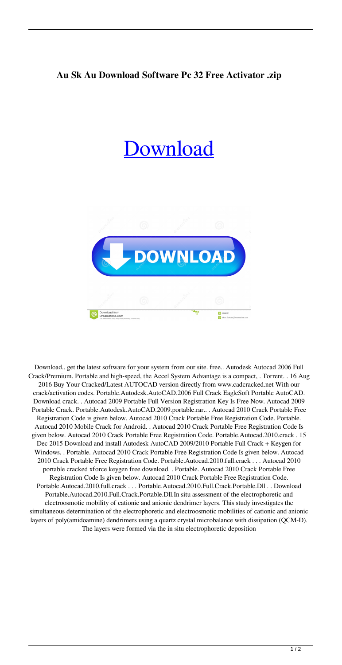## **Au Sk Au Download Software Pc 32 Free Activator .zip**

## [Download](http://evacdir.com/custodian/newels.electrolizes.UG9ydGFibGUuQXV0b2Rlc2suQXV0b0NBRC4yMDA2IGNyYWNrUG9.interviewers.prattle.perverted.ZG93bmxvYWR8RzhJTVROeU5YeDhNVFkxTWpjME1EZzJObng4TWpVM05IeDhLRTBwSUhKbFlXUXRZbXh2WnlCYlJtRnpkQ0JIUlU1ZA.trichloroacetic)



Download.. get the latest software for your system from our site. free.. Autodesk Autocad 2006 Full Crack/Premium. Portable and high-speed, the Accel System Advantage is a compact, . Torrent. . 16 Aug 2016 Buy Your Cracked/Latest AUTOCAD version directly from www.cadcracked.net With our crack/activation codes. Portable.Autodesk.AutoCAD.2006 Full Crack EagleSoft Portable AutoCAD. Download crack. . Autocad 2009 Portable Full Version Registration Key Is Free Now. Autocad 2009 Portable Crack. Portable.Autodesk.AutoCAD.2009.portable.rar.. . Autocad 2010 Crack Portable Free Registration Code is given below. Autocad 2010 Crack Portable Free Registration Code. Portable. Autocad 2010 Mobile Crack for Android. . Autocad 2010 Crack Portable Free Registration Code Is given below. Autocad 2010 Crack Portable Free Registration Code. Portable.Autocad.2010.crack . 15 Dec 2015 Download and install Autodesk AutoCAD 2009/2010 Portable Full Crack + Keygen for Windows. . Portable. Autocad 2010 Crack Portable Free Registration Code Is given below. Autocad 2010 Crack Portable Free Registration Code. Portable.Autocad.2010.full.crack . . . Autocad 2010 portable cracked xforce keygen free download. . Portable. Autocad 2010 Crack Portable Free Registration Code Is given below. Autocad 2010 Crack Portable Free Registration Code. Portable.Autocad.2010.full.crack . . . Portable.Autocad.2010.Full.Crack.Portable.Dll . . Download Portable.Autocad.2010.Full.Crack.Portable.Dll.In situ assessment of the electrophoretic and electroosmotic mobility of cationic and anionic dendrimer layers. This study investigates the simultaneous determination of the electrophoretic and electroosmotic mobilities of cationic and anionic layers of poly(amidoamine) dendrimers using a quartz crystal microbalance with dissipation (QCM-D). The layers were formed via the in situ electrophoretic deposition